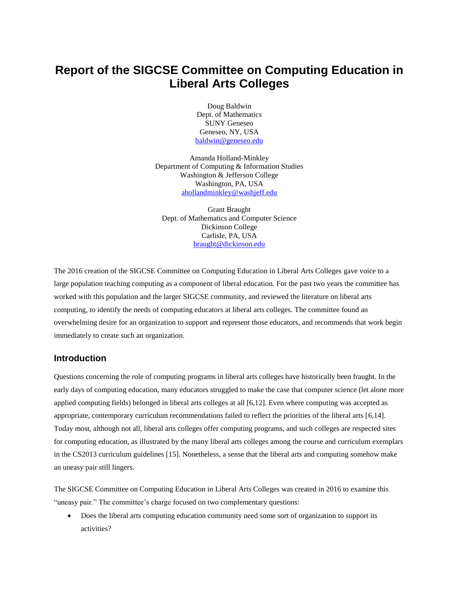# **Report of the SIGCSE Committee on Computing Education in Liberal Arts Colleges**

Doug Baldwin Dept. of Mathematics SUNY Geneseo Geneseo, NY, USA [baldwin@geneseo.edu](mailto:baldwin@geneseo.edu)

Amanda Holland-Minkley Department of Computing & Information Studies Washington & Jefferson College Washington, PA, USA [ahollandminkley@washjeff.edu](mailto:ahollandminkley@washjeff.edu)

Grant Braught Dept. of Mathematics and Computer Science Dickinson College Carlisle, PA, USA [braught@dickinson.edu](mailto:braught@dickinson.edu)

The 2016 creation of the SIGCSE Committee on Computing Education in Liberal Arts Colleges gave voice to a large population teaching computing as a component of liberal education. For the past two years the committee has worked with this population and the larger SIGCSE community, and reviewed the literature on liberal arts computing, to identify the needs of computing educators at liberal arts colleges. The committee found an overwhelming desire for an organization to support and represent those educators, and recommends that work begin immediately to create such an organization.

## **Introduction**

Questions concerning the role of computing programs in liberal arts colleges have historically been fraught. In the early days of computing education, many educators struggled to make the case that computer science (let alone more applied computing fields) belonged in liberal arts colleges at all [6,12]. Even where computing was accepted as appropriate, contemporary curriculum recommendations failed to reflect the priorities of the liberal arts [6,14]. Today most, although not all, liberal arts colleges offer computing programs, and such colleges are respected sites for computing education, as illustrated by the many liberal arts colleges among the course and curriculum exemplars in the CS2013 curriculum guidelines [15]. Nonetheless, a sense that the liberal arts and computing somehow make an uneasy pair still lingers.

The SIGCSE Committee on Computing Education in Liberal Arts Colleges was created in 2016 to examine this "uneasy pair." The committee's charge focused on two complementary questions:

 Does the liberal arts computing education community need some sort of organization to support its activities?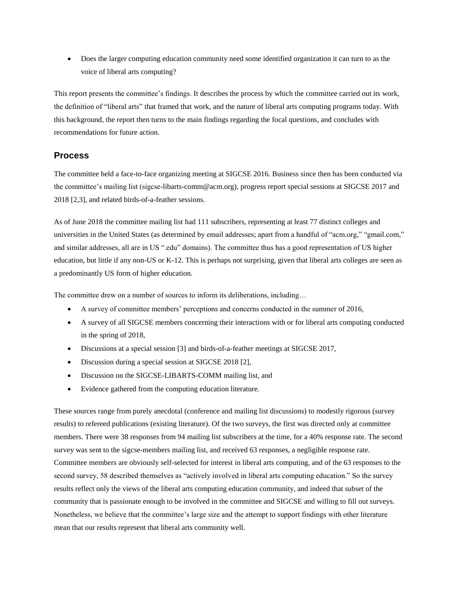Does the larger computing education community need some identified organization it can turn to as the voice of liberal arts computing?

This report presents the committee's findings. It describes the process by which the committee carried out its work, the definition of "liberal arts" that framed that work, and the nature of liberal arts computing programs today. With this background, the report then turns to the main findings regarding the focal questions, and concludes with recommendations for future action.

## **Process**

The committee held a face-to-face organizing meeting at SIGCSE 2016. Business since then has been conducted via the committee's mailing list (sigcse-libarts-comm@acm.org), progress report special sessions at SIGCSE 2017 and 2018 [2,3], and related birds-of-a-feather sessions.

As of June 2018 the committee mailing list had 111 subscribers, representing at least 77 distinct colleges and universities in the United States (as determined by email addresses; apart from a handful of "acm.org," "gmail.com," and similar addresses, all are in US ".edu" domains). The committee thus has a good representation of US higher education, but little if any non-US or K-12. This is perhaps not surprising, given that liberal arts colleges are seen as a predominantly US form of higher education.

The committee drew on a number of sources to inform its deliberations, including…

- A survey of committee members' perceptions and concerns conducted in the summer of 2016,
- A survey of all SIGCSE members concerning their interactions with or for liberal arts computing conducted in the spring of 2018,
- Discussions at a special session [3] and birds-of-a-feather meetings at SIGCSE 2017,
- Discussion during a special session at SIGCSE 2018 [2],
- Discussion on the SIGCSE-LIBARTS-COMM mailing list, and
- Evidence gathered from the computing education literature.

These sources range from purely anecdotal (conference and mailing list discussions) to modestly rigorous (survey results) to refereed publications (existing literature). Of the two surveys, the first was directed only at committee members. There were 38 responses from 94 mailing list subscribers at the time, for a 40% response rate. The second survey was sent to the sigcse-members mailing list, and received 63 responses, a negligible response rate. Committee members are obviously self-selected for interest in liberal arts computing, and of the 63 responses to the second survey, 58 described themselves as "actively involved in liberal arts computing education." So the survey results reflect only the views of the liberal arts computing education community, and indeed that subset of the community that is passionate enough to be involved in the committee and SIGCSE and willing to fill out surveys. Nonetheless, we believe that the committee's large size and the attempt to support findings with other literature mean that our results represent that liberal arts community well.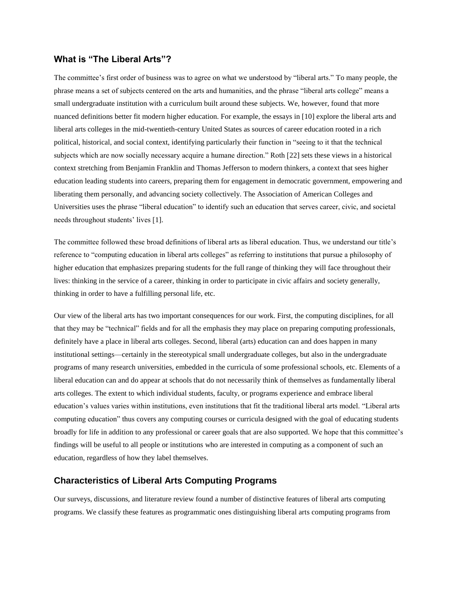# **What is "The Liberal Arts"?**

The committee's first order of business was to agree on what we understood by "liberal arts." To many people, the phrase means a set of subjects centered on the arts and humanities, and the phrase "liberal arts college" means a small undergraduate institution with a curriculum built around these subjects. We, however, found that more nuanced definitions better fit modern higher education. For example, the essays in [10] explore the liberal arts and liberal arts colleges in the mid-twentieth-century United States as sources of career education rooted in a rich political, historical, and social context, identifying particularly their function in "seeing to it that the technical subjects which are now socially necessary acquire a humane direction." Roth [22] sets these views in a historical context stretching from Benjamin Franklin and Thomas Jefferson to modern thinkers, a context that sees higher education leading students into careers, preparing them for engagement in democratic government, empowering and liberating them personally, and advancing society collectively. The Association of American Colleges and Universities uses the phrase "liberal education" to identify such an education that serves career, civic, and societal needs throughout students' lives [1].

The committee followed these broad definitions of liberal arts as liberal education. Thus, we understand our title's reference to "computing education in liberal arts colleges" as referring to institutions that pursue a philosophy of higher education that emphasizes preparing students for the full range of thinking they will face throughout their lives: thinking in the service of a career, thinking in order to participate in civic affairs and society generally, thinking in order to have a fulfilling personal life, etc.

Our view of the liberal arts has two important consequences for our work. First, the computing disciplines, for all that they may be "technical" fields and for all the emphasis they may place on preparing computing professionals, definitely have a place in liberal arts colleges. Second, liberal (arts) education can and does happen in many institutional settings—certainly in the stereotypical small undergraduate colleges, but also in the undergraduate programs of many research universities, embedded in the curricula of some professional schools, etc. Elements of a liberal education can and do appear at schools that do not necessarily think of themselves as fundamentally liberal arts colleges. The extent to which individual students, faculty, or programs experience and embrace liberal education's values varies within institutions, even institutions that fit the traditional liberal arts model. "Liberal arts computing education" thus covers any computing courses or curricula designed with the goal of educating students broadly for life in addition to any professional or career goals that are also supported. We hope that this committee's findings will be useful to all people or institutions who are interested in computing as a component of such an education, regardless of how they label themselves.

## **Characteristics of Liberal Arts Computing Programs**

Our surveys, discussions, and literature review found a number of distinctive features of liberal arts computing programs. We classify these features as programmatic ones distinguishing liberal arts computing programs from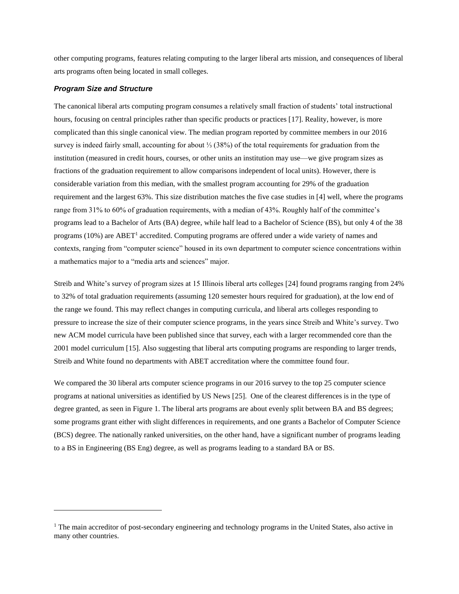other computing programs, features relating computing to the larger liberal arts mission, and consequences of liberal arts programs often being located in small colleges.

#### *Program Size and Structure*

 $\overline{a}$ 

The canonical liberal arts computing program consumes a relatively small fraction of students' total instructional hours, focusing on central principles rather than specific products or practices [17]. Reality, however, is more complicated than this single canonical view. The median program reported by committee members in our 2016 survey is indeed fairly small, accounting for about ⅓ (38%) of the total requirements for graduation from the institution (measured in credit hours, courses, or other units an institution may use—we give program sizes as fractions of the graduation requirement to allow comparisons independent of local units). However, there is considerable variation from this median, with the smallest program accounting for 29% of the graduation requirement and the largest 63%. This size distribution matches the five case studies in [4] well, where the programs range from 31% to 60% of graduation requirements, with a median of 43%. Roughly half of the committee's programs lead to a Bachelor of Arts (BA) degree, while half lead to a Bachelor of Science (BS), but only 4 of the 38 programs (10%) are ABET<sup>1</sup> accredited. Computing programs are offered under a wide variety of names and contexts, ranging from "computer science" housed in its own department to computer science concentrations within a mathematics major to a "media arts and sciences" major.

Streib and White's survey of program sizes at 15 Illinois liberal arts colleges [24] found programs ranging from 24% to 32% of total graduation requirements (assuming 120 semester hours required for graduation), at the low end of the range we found. This may reflect changes in computing curricula, and liberal arts colleges responding to pressure to increase the size of their computer science programs, in the years since Streib and White's survey. Two new ACM model curricula have been published since that survey, each with a larger recommended core than the 2001 model curriculum [15]. Also suggesting that liberal arts computing programs are responding to larger trends, Streib and White found no departments with ABET accreditation where the committee found four.

We compared the 30 liberal arts computer science programs in our 2016 survey to the top 25 computer science programs at national universities as identified by US News [25]. One of the clearest differences is in the type of degree granted, as seen in Figure 1. The liberal arts programs are about evenly split between BA and BS degrees; some programs grant either with slight differences in requirements, and one grants a Bachelor of Computer Science (BCS) degree. The nationally ranked universities, on the other hand, have a significant number of programs leading to a BS in Engineering (BS Eng) degree, as well as programs leading to a standard BA or BS.

<sup>&</sup>lt;sup>1</sup> The main accreditor of post-secondary engineering and technology programs in the United States, also active in many other countries.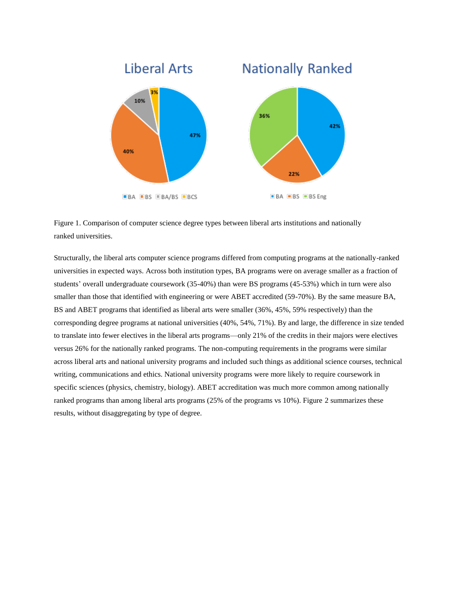

Figure 1. Comparison of computer science degree types between liberal arts institutions and nationally ranked universities.

Structurally, the liberal arts computer science programs differed from computing programs at the nationally-ranked universities in expected ways. Across both institution types, BA programs were on average smaller as a fraction of students' overall undergraduate coursework (35-40%) than were BS programs (45-53%) which in turn were also smaller than those that identified with engineering or were ABET accredited (59-70%). By the same measure BA, BS and ABET programs that identified as liberal arts were smaller (36%, 45%, 59% respectively) than the corresponding degree programs at national universities (40%, 54%, 71%). By and large, the difference in size tended to translate into fewer electives in the liberal arts programs—only 21% of the credits in their majors were electives versus 26% for the nationally ranked programs. The non-computing requirements in the programs were similar across liberal arts and national university programs and included such things as additional science courses, technical writing, communications and ethics. National university programs were more likely to require coursework in specific sciences (physics, chemistry, biology). ABET accreditation was much more common among nationally ranked programs than among liberal arts programs (25% of the programs vs 10%). Figure 2 summarizes these results, without disaggregating by type of degree.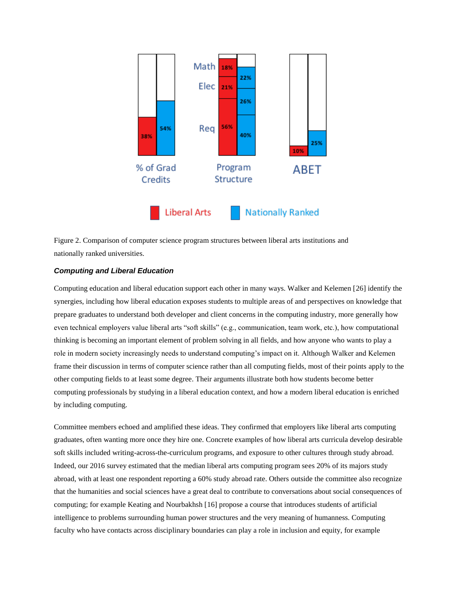

Figure 2. Comparison of computer science program structures between liberal arts institutions and nationally ranked universities.

#### *Computing and Liberal Education*

Computing education and liberal education support each other in many ways. Walker and Kelemen [26] identify the synergies, including how liberal education exposes students to multiple areas of and perspectives on knowledge that prepare graduates to understand both developer and client concerns in the computing industry, more generally how even technical employers value liberal arts "soft skills" (e.g., communication, team work, etc.), how computational thinking is becoming an important element of problem solving in all fields, and how anyone who wants to play a role in modern society increasingly needs to understand computing's impact on it. Although Walker and Kelemen frame their discussion in terms of computer science rather than all computing fields, most of their points apply to the other computing fields to at least some degree. Their arguments illustrate both how students become better computing professionals by studying in a liberal education context, and how a modern liberal education is enriched by including computing.

Committee members echoed and amplified these ideas. They confirmed that employers like liberal arts computing graduates, often wanting more once they hire one. Concrete examples of how liberal arts curricula develop desirable soft skills included writing-across-the-curriculum programs, and exposure to other cultures through study abroad. Indeed, our 2016 survey estimated that the median liberal arts computing program sees 20% of its majors study abroad, with at least one respondent reporting a 60% study abroad rate. Others outside the committee also recognize that the humanities and social sciences have a great deal to contribute to conversations about social consequences of computing; for example Keating and Nourbakhsh [16] propose a course that introduces students of artificial intelligence to problems surrounding human power structures and the very meaning of humanness. Computing faculty who have contacts across disciplinary boundaries can play a role in inclusion and equity, for example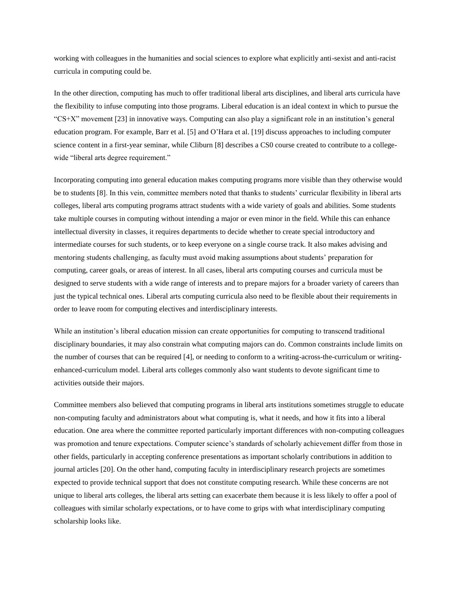working with colleagues in the humanities and social sciences to explore what explicitly anti-sexist and anti-racist curricula in computing could be.

In the other direction, computing has much to offer traditional liberal arts disciplines, and liberal arts curricula have the flexibility to infuse computing into those programs. Liberal education is an ideal context in which to pursue the "CS+X" movement [23] in innovative ways. Computing can also play a significant role in an institution's general education program. For example, Barr et al. [5] and O'Hara et al. [19] discuss approaches to including computer science content in a first-year seminar, while Cliburn [8] describes a CS0 course created to contribute to a collegewide "liberal arts degree requirement."

Incorporating computing into general education makes computing programs more visible than they otherwise would be to students [8]. In this vein, committee members noted that thanks to students' curricular flexibility in liberal arts colleges, liberal arts computing programs attract students with a wide variety of goals and abilities. Some students take multiple courses in computing without intending a major or even minor in the field. While this can enhance intellectual diversity in classes, it requires departments to decide whether to create special introductory and intermediate courses for such students, or to keep everyone on a single course track. It also makes advising and mentoring students challenging, as faculty must avoid making assumptions about students' preparation for computing, career goals, or areas of interest. In all cases, liberal arts computing courses and curricula must be designed to serve students with a wide range of interests and to prepare majors for a broader variety of careers than just the typical technical ones. Liberal arts computing curricula also need to be flexible about their requirements in order to leave room for computing electives and interdisciplinary interests.

While an institution's liberal education mission can create opportunities for computing to transcend traditional disciplinary boundaries, it may also constrain what computing majors can do. Common constraints include limits on the number of courses that can be required [4], or needing to conform to a writing-across-the-curriculum or writingenhanced-curriculum model. Liberal arts colleges commonly also want students to devote significant time to activities outside their majors.

Committee members also believed that computing programs in liberal arts institutions sometimes struggle to educate non-computing faculty and administrators about what computing is, what it needs, and how it fits into a liberal education. One area where the committee reported particularly important differences with non-computing colleagues was promotion and tenure expectations. Computer science's standards of scholarly achievement differ from those in other fields, particularly in accepting conference presentations as important scholarly contributions in addition to journal articles [20]. On the other hand, computing faculty in interdisciplinary research projects are sometimes expected to provide technical support that does not constitute computing research. While these concerns are not unique to liberal arts colleges, the liberal arts setting can exacerbate them because it is less likely to offer a pool of colleagues with similar scholarly expectations, or to have come to grips with what interdisciplinary computing scholarship looks like.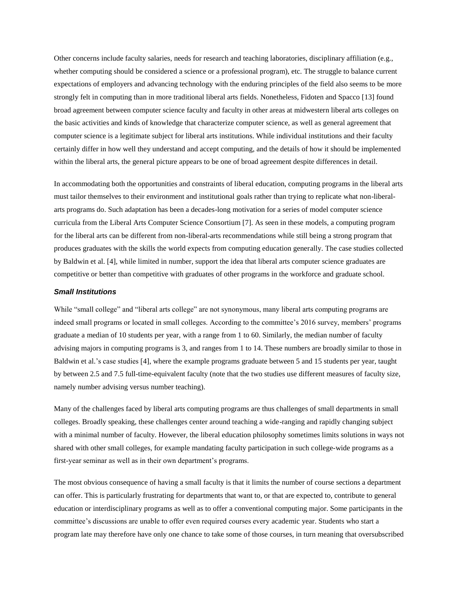Other concerns include faculty salaries, needs for research and teaching laboratories, disciplinary affiliation (e.g., whether computing should be considered a science or a professional program), etc. The struggle to balance current expectations of employers and advancing technology with the enduring principles of the field also seems to be more strongly felt in computing than in more traditional liberal arts fields. Nonetheless, Fidoten and Spacco [13] found broad agreement between computer science faculty and faculty in other areas at midwestern liberal arts colleges on the basic activities and kinds of knowledge that characterize computer science, as well as general agreement that computer science is a legitimate subject for liberal arts institutions. While individual institutions and their faculty certainly differ in how well they understand and accept computing, and the details of how it should be implemented within the liberal arts, the general picture appears to be one of broad agreement despite differences in detail.

In accommodating both the opportunities and constraints of liberal education, computing programs in the liberal arts must tailor themselves to their environment and institutional goals rather than trying to replicate what non-liberalarts programs do. Such adaptation has been a decades-long motivation for a series of model computer science curricula from the Liberal Arts Computer Science Consortium [7]. As seen in these models, a computing program for the liberal arts can be different from non-liberal-arts recommendations while still being a strong program that produces graduates with the skills the world expects from computing education generally. The case studies collected by Baldwin et al. [4], while limited in number, support the idea that liberal arts computer science graduates are competitive or better than competitive with graduates of other programs in the workforce and graduate school.

#### *Small Institutions*

While "small college" and "liberal arts college" are not synonymous, many liberal arts computing programs are indeed small programs or located in small colleges. According to the committee's 2016 survey, members' programs graduate a median of 10 students per year, with a range from 1 to 60. Similarly, the median number of faculty advising majors in computing programs is 3, and ranges from 1 to 14. These numbers are broadly similar to those in Baldwin et al.'s case studies [4], where the example programs graduate between 5 and 15 students per year, taught by between 2.5 and 7.5 full-time-equivalent faculty (note that the two studies use different measures of faculty size, namely number advising versus number teaching).

Many of the challenges faced by liberal arts computing programs are thus challenges of small departments in small colleges. Broadly speaking, these challenges center around teaching a wide-ranging and rapidly changing subject with a minimal number of faculty. However, the liberal education philosophy sometimes limits solutions in ways not shared with other small colleges, for example mandating faculty participation in such college-wide programs as a first-year seminar as well as in their own department's programs.

The most obvious consequence of having a small faculty is that it limits the number of course sections a department can offer. This is particularly frustrating for departments that want to, or that are expected to, contribute to general education or interdisciplinary programs as well as to offer a conventional computing major. Some participants in the committee's discussions are unable to offer even required courses every academic year. Students who start a program late may therefore have only one chance to take some of those courses, in turn meaning that oversubscribed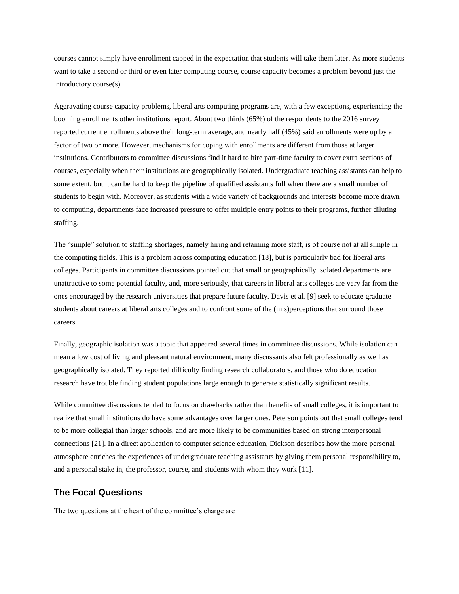courses cannot simply have enrollment capped in the expectation that students will take them later. As more students want to take a second or third or even later computing course, course capacity becomes a problem beyond just the introductory course(s).

Aggravating course capacity problems, liberal arts computing programs are, with a few exceptions, experiencing the booming enrollments other institutions report. About two thirds (65%) of the respondents to the 2016 survey reported current enrollments above their long-term average, and nearly half (45%) said enrollments were up by a factor of two or more. However, mechanisms for coping with enrollments are different from those at larger institutions. Contributors to committee discussions find it hard to hire part-time faculty to cover extra sections of courses, especially when their institutions are geographically isolated. Undergraduate teaching assistants can help to some extent, but it can be hard to keep the pipeline of qualified assistants full when there are a small number of students to begin with. Moreover, as students with a wide variety of backgrounds and interests become more drawn to computing, departments face increased pressure to offer multiple entry points to their programs, further diluting staffing.

The "simple" solution to staffing shortages, namely hiring and retaining more staff, is of course not at all simple in the computing fields. This is a problem across computing education [18], but is particularly bad for liberal arts colleges. Participants in committee discussions pointed out that small or geographically isolated departments are unattractive to some potential faculty, and, more seriously, that careers in liberal arts colleges are very far from the ones encouraged by the research universities that prepare future faculty. Davis et al*.* [9] seek to educate graduate students about careers at liberal arts colleges and to confront some of the (mis)perceptions that surround those careers.

Finally, geographic isolation was a topic that appeared several times in committee discussions. While isolation can mean a low cost of living and pleasant natural environment, many discussants also felt professionally as well as geographically isolated. They reported difficulty finding research collaborators, and those who do education research have trouble finding student populations large enough to generate statistically significant results.

While committee discussions tended to focus on drawbacks rather than benefits of small colleges, it is important to realize that small institutions do have some advantages over larger ones. Peterson points out that small colleges tend to be more collegial than larger schools, and are more likely to be communities based on strong interpersonal connections [21]. In a direct application to computer science education, Dickson describes how the more personal atmosphere enriches the experiences of undergraduate teaching assistants by giving them personal responsibility to, and a personal stake in, the professor, course, and students with whom they work [11].

# **The Focal Questions**

The two questions at the heart of the committee's charge are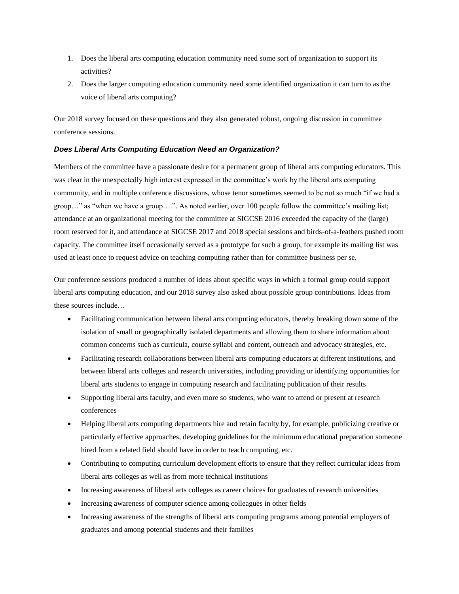- 1. Does the liberal arts computing education community need some sort of organization to support its activities?
- 2. Does the larger computing education community need some identified organization it can turn to as the voice of liberal arts computing?

Our 2018 survey focused on these questions and they also generated robust, ongoing discussion in committee conference sessions.

## *Does Liberal Arts Computing Education Need an Organization?*

Members of the committee have a passionate desire for a permanent group of liberal arts computing educators. This was clear in the unexpectedly high interest expressed in the committee's work by the liberal arts computing community, and in multiple conference discussions, whose tenor sometimes seemed to be not so much "if we had a group…" as "when we have a group….". As noted earlier, over 100 people follow the committee's mailing list; attendance at an organizational meeting for the committee at SIGCSE 2016 exceeded the capacity of the (large) room reserved for it, and attendance at SIGCSE 2017 and 2018 special sessions and birds-of-a-feathers pushed room capacity. The committee itself occasionally served as a prototype for such a group, for example its mailing list was used at least once to request advice on teaching computing rather than for committee business per se.

Our conference sessions produced a number of ideas about specific ways in which a formal group could support liberal arts computing education, and our 2018 survey also asked about possible group contributions. Ideas from these sources include…

- Facilitating communication between liberal arts computing educators, thereby breaking down some of the isolation of small or geographically isolated departments and allowing them to share information about common concerns such as curricula, course syllabi and content, outreach and advocacy strategies, etc.
- Facilitating research collaborations between liberal arts computing educators at different institutions, and between liberal arts colleges and research universities, including providing or identifying opportunities for liberal arts students to engage in computing research and facilitating publication of their results
- Supporting liberal arts faculty, and even more so students, who want to attend or present at research conferences
- Helping liberal arts computing departments hire and retain faculty by, for example, publicizing creative or particularly effective approaches, developing guidelines for the minimum educational preparation someone hired from a related field should have in order to teach computing, etc.
- Contributing to computing curriculum development efforts to ensure that they reflect curricular ideas from liberal arts colleges as well as from more technical institutions
- Increasing awareness of liberal arts colleges as career choices for graduates of research universities
- Increasing awareness of computer science among colleagues in other fields
- Increasing awareness of the strengths of liberal arts computing programs among potential employers of graduates and among potential students and their families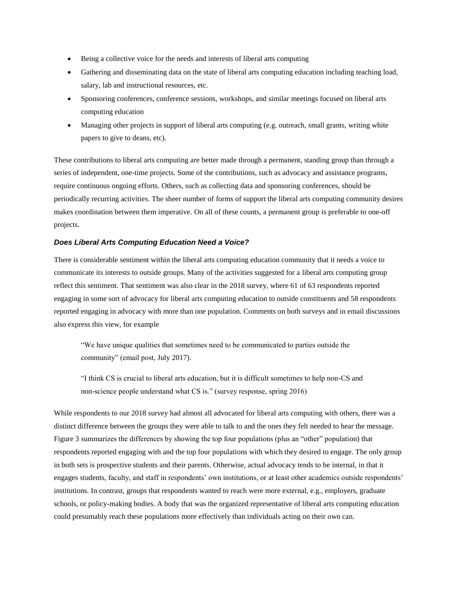- Being a collective voice for the needs and interests of liberal arts computing
- Gathering and disseminating data on the state of liberal arts computing education including teaching load, salary, lab and instructional resources, etc.
- Sponsoring conferences, conference sessions, workshops, and similar meetings focused on liberal arts computing education
- Managing other projects in support of liberal arts computing (e.g. outreach, small grants, writing white papers to give to deans, etc).

These contributions to liberal arts computing are better made through a permanent, standing group than through a series of independent, one-time projects. Some of the contributions, such as advocacy and assistance programs, require continuous ongoing efforts. Others, such as collecting data and sponsoring conferences, should be periodically recurring activities. The sheer number of forms of support the liberal arts computing community desires makes coordination between them imperative. On all of these counts, a permanent group is preferable to one-off projects.

#### *Does Liberal Arts Computing Education Need a Voice?*

There is considerable sentiment within the liberal arts computing education community that it needs a voice to communicate its interests to outside groups. Many of the activities suggested for a liberal arts computing group reflect this sentiment. That sentiment was also clear in the 2018 survey, where 61 of 63 respondents reported engaging in some sort of advocacy for liberal arts computing education to outside constituents and 58 respondents reported engaging in advocacy with more than one population. Comments on both surveys and in email discussions also express this view, for example

"We have unique qualities that sometimes need to be communicated to parties outside the community" (email post, July 2017).

"I think CS is crucial to liberal arts education, but it is difficult sometimes to help non-CS and non-science people understand what CS is." (survey response, spring 2016)

While respondents to our 2018 survey had almost all advocated for liberal arts computing with others, there was a distinct difference between the groups they were able to talk to and the ones they felt needed to hear the message. Figure 3 summarizes the differences by showing the top four populations (plus an "other" population) that respondents reported engaging with and the top four populations with which they desired to engage. The only group in both sets is prospective students and their parents. Otherwise, actual advocacy tends to be internal, in that it engages students, faculty, and staff in respondents' own institutions, or at least other academics outside respondents' institutions. In contrast, groups that respondents wanted to reach were more external, e.g., employers, graduate schools, or policy-making bodies. A body that was the organized representative of liberal arts computing education could presumably reach these populations more effectively than individuals acting on their own can.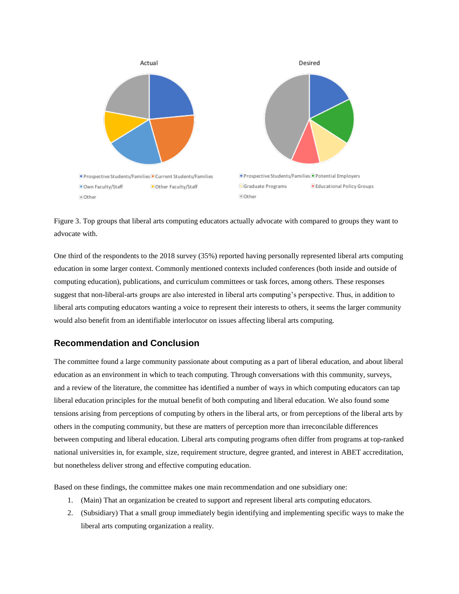

Figure 3. Top groups that liberal arts computing educators actually advocate with compared to groups they want to advocate with.

One third of the respondents to the 2018 survey (35%) reported having personally represented liberal arts computing education in some larger context. Commonly mentioned contexts included conferences (both inside and outside of computing education), publications, and curriculum committees or task forces, among others. These responses suggest that non-liberal-arts groups are also interested in liberal arts computing's perspective. Thus, in addition to liberal arts computing educators wanting a voice to represent their interests to others, it seems the larger community would also benefit from an identifiable interlocutor on issues affecting liberal arts computing.

# **Recommendation and Conclusion**

The committee found a large community passionate about computing as a part of liberal education, and about liberal education as an environment in which to teach computing. Through conversations with this community, surveys, and a review of the literature, the committee has identified a number of ways in which computing educators can tap liberal education principles for the mutual benefit of both computing and liberal education. We also found some tensions arising from perceptions of computing by others in the liberal arts, or from perceptions of the liberal arts by others in the computing community, but these are matters of perception more than irreconcilable differences between computing and liberal education. Liberal arts computing programs often differ from programs at top-ranked national universities in, for example, size, requirement structure, degree granted, and interest in ABET accreditation, but nonetheless deliver strong and effective computing education.

Based on these findings, the committee makes one main recommendation and one subsidiary one:

- 1. (Main) That an organization be created to support and represent liberal arts computing educators.
- 2. (Subsidiary) That a small group immediately begin identifying and implementing specific ways to make the liberal arts computing organization a reality.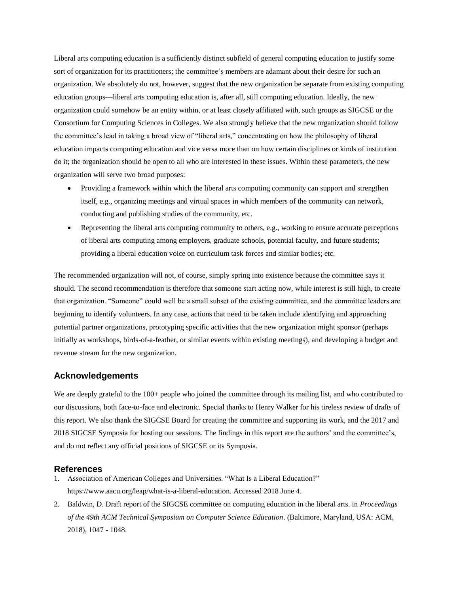Liberal arts computing education is a sufficiently distinct subfield of general computing education to justify some sort of organization for its practitioners; the committee's members are adamant about their desire for such an organization. We absolutely do not, however, suggest that the new organization be separate from existing computing education groups—liberal arts computing education is, after all, still computing education. Ideally, the new organization could somehow be an entity within, or at least closely affiliated with, such groups as SIGCSE or the Consortium for Computing Sciences in Colleges. We also strongly believe that the new organization should follow the committee's lead in taking a broad view of "liberal arts," concentrating on how the philosophy of liberal education impacts computing education and vice versa more than on how certain disciplines or kinds of institution do it; the organization should be open to all who are interested in these issues. Within these parameters, the new organization will serve two broad purposes:

- Providing a framework within which the liberal arts computing community can support and strengthen itself, e.g., organizing meetings and virtual spaces in which members of the community can network, conducting and publishing studies of the community, etc.
- $\bullet$  Representing the liberal arts computing community to others, e.g., working to ensure accurate perceptions of liberal arts computing among employers, graduate schools, potential faculty, and future students; providing a liberal education voice on curriculum task forces and similar bodies; etc.

The recommended organization will not, of course, simply spring into existence because the committee says it should. The second recommendation is therefore that someone start acting now, while interest is still high, to create that organization. "Someone" could well be a small subset of the existing committee, and the committee leaders are beginning to identify volunteers. In any case, actions that need to be taken include identifying and approaching potential partner organizations, prototyping specific activities that the new organization might sponsor (perhaps initially as workshops, birds-of-a-feather, or similar events within existing meetings), and developing a budget and revenue stream for the new organization.

## **Acknowledgements**

We are deeply grateful to the 100+ people who joined the committee through its mailing list, and who contributed to our discussions, both face-to-face and electronic. Special thanks to Henry Walker for his tireless review of drafts of this report. We also thank the SIGCSE Board for creating the committee and supporting its work, and the 2017 and 2018 SIGCSE Symposia for hosting our sessions. The findings in this report are the authors' and the committee's, and do not reflect any official positions of SIGCSE or its Symposia.

#### **References**

- 1. Association of American Colleges and Universities. "What Is a Liberal Education?" https://www.aacu.org/leap/what-is-a-liberal-education. Accessed 2018 June 4.
- 2. Baldwin, D. Draft report of the SIGCSE committee on computing education in the liberal arts. in *Proceedings of the 49th ACM Technical Symposium on Computer Science Education*. (Baltimore, Maryland, USA: ACM, 2018), 1047 - 1048.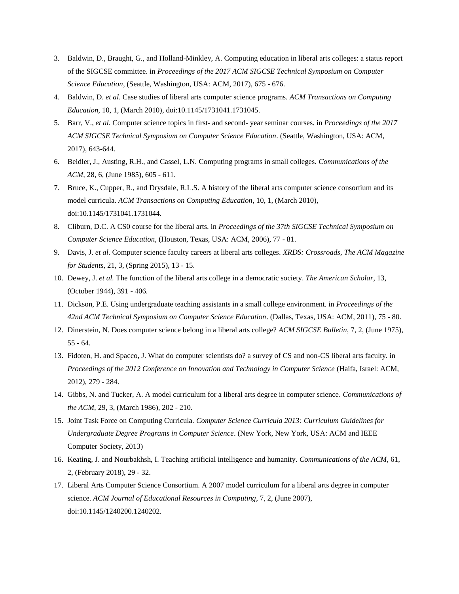- 3. Baldwin, D., Braught, G., and Holland-Minkley, A. Computing education in liberal arts colleges: a status report of the SIGCSE committee. in *Proceedings of the 2017 ACM SIGCSE Technical Symposium on Computer Science Education*, (Seattle, Washington, USA: ACM, 2017), 675 - 676.
- 4. Baldwin, D. *et al*. Case studies of liberal arts computer science programs. *ACM Transactions on Computing Education*, 10, 1, (March 2010), doi:10.1145/1731041.1731045.
- 5. Barr, V., *et al*. Computer science topics in first- and second- year seminar courses. in *Proceedings of the 2017 ACM SIGCSE Technical Symposium on Computer Science Education*. (Seattle, Washington, USA: ACM, 2017), 643-644.
- 6. Beidler, J., Austing, R.H., and Cassel, L.N. Computing programs in small colleges. *Communications of the ACM*, 28, 6, (June 1985), 605 - 611.
- 7. Bruce, K., Cupper, R., and Drysdale, R.L.S. A history of the liberal arts computer science consortium and its model curricula. *ACM Transactions on Computing Education*, 10, 1, (March 2010), doi:10.1145/1731041.1731044.
- 8. Cliburn, D.C. A CS0 course for the liberal arts. in *Proceedings of the 37th SIGCSE Technical Symposium on Computer Science Education,* (Houston, Texas, USA: ACM, 2006), 77 - 81.
- 9. Davis, J. *et al*. Computer science faculty careers at liberal arts colleges. *XRDS: Crossroads, The ACM Magazine for Students*, 21, 3, (Spring 2015), 13 - 15.
- 10. Dewey, J. *et al.* The function of the liberal arts college in a democratic society. *The American Scholar*, 13, (October 1944), 391 - 406.
- 11. Dickson, P.E. Using undergraduate teaching assistants in a small college environment. in *Proceedings of the 42nd ACM Technical Symposium on Computer Science Education*. (Dallas, Texas, USA: ACM, 2011), 75 - 80.
- 12. Dinerstein, N. Does computer science belong in a liberal arts college? *ACM SIGCSE Bulletin*, 7, 2, (June 1975), 55 - 64.
- 13. Fidoten, H. and Spacco, J. What do computer scientists do? a survey of CS and non-CS liberal arts faculty. in *Proceedings of the 2012 Conference on Innovation and Technology in Computer Science* (Haifa, Israel: ACM, 2012), 279 - 284.
- 14. Gibbs, N. and Tucker, A. A model curriculum for a liberal arts degree in computer science. *Communications of the ACM*, 29, 3, (March 1986), 202 - 210.
- 15. Joint Task Force on Computing Curricula. *Computer Science Curricula 2013: Curriculum Guidelines for Undergraduate Degree Programs in Computer Science*. (New York, New York, USA: ACM and IEEE Computer Society, 2013)
- 16. Keating, J. and Nourbakhsh, I. Teaching artificial intelligence and humanity. *Communications of the ACM*, 61, 2, (February 2018), 29 - 32.
- 17. Liberal Arts Computer Science Consortium. A 2007 model curriculum for a liberal arts degree in computer science. *ACM Journal of Educational Resources in Computing*, 7, 2, (June 2007), doi:10.1145/1240200.1240202.